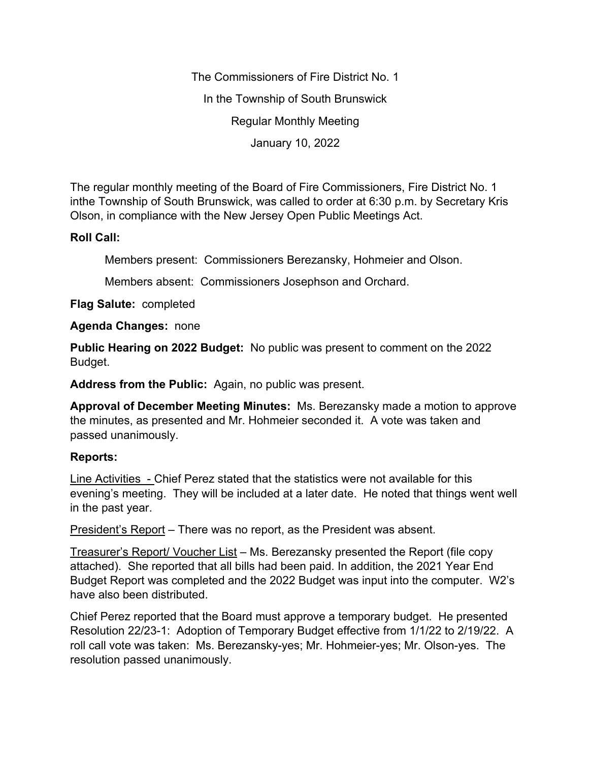The Commissioners of Fire District No. 1 In the Township of South Brunswick Regular Monthly Meeting January 10, 2022

The regular monthly meeting of the Board of Fire Commissioners, Fire District No. 1 inthe Township of South Brunswick, was called to order at 6:30 p.m. by Secretary Kris Olson, in compliance with the New Jersey Open Public Meetings Act.

## **Roll Call:**

Members present: Commissioners Berezansky, Hohmeier and Olson.

Members absent: Commissioners Josephson and Orchard.

**Flag Salute:** completed

**Agenda Changes:** none

**Public Hearing on 2022 Budget:** No public was present to comment on the 2022 Budget.

**Address from the Public:** Again, no public was present.

**Approval of December Meeting Minutes:** Ms. Berezansky made a motion to approve the minutes, as presented and Mr. Hohmeier seconded it. A vote was taken and passed unanimously.

## **Reports:**

Line Activities - Chief Perez stated that the statistics were not available for this evening's meeting. They will be included at a later date. He noted that things went well in the past year.

President's Report – There was no report, as the President was absent.

Treasurer's Report/ Voucher List – Ms. Berezansky presented the Report (file copy attached). She reported that all bills had been paid. In addition, the 2021 Year End Budget Report was completed and the 2022 Budget was input into the computer. W2's have also been distributed.

Chief Perez reported that the Board must approve a temporary budget. He presented Resolution 22/23-1: Adoption of Temporary Budget effective from 1/1/22 to 2/19/22. A roll call vote was taken: Ms. Berezansky-yes; Mr. Hohmeier-yes; Mr. Olson-yes. The resolution passed unanimously.